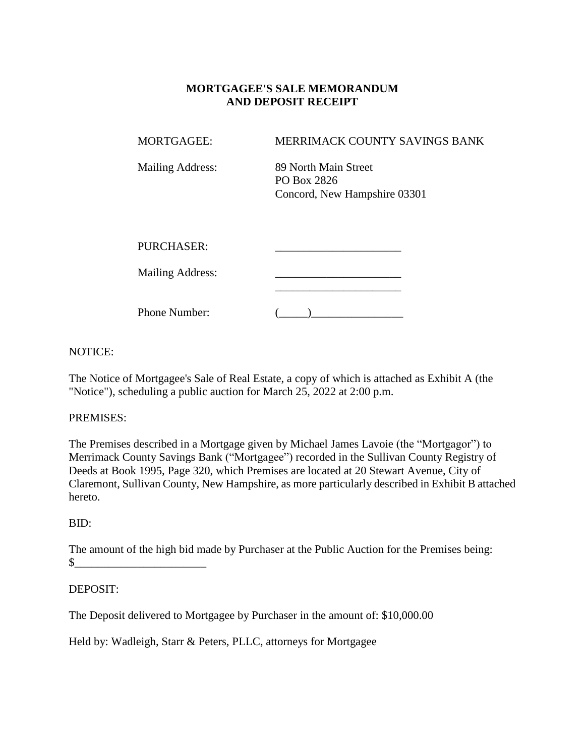# **MORTGAGEE'S SALE MEMORANDUM AND DEPOSIT RECEIPT**

| <b>MORTGAGEE:</b>       | MERRIMACK COUNTY SAVINGS BANK                                       |
|-------------------------|---------------------------------------------------------------------|
| <b>Mailing Address:</b> | 89 North Main Street<br>PO Box 2826<br>Concord, New Hampshire 03301 |
| <b>PURCHASER:</b>       |                                                                     |
| <b>Mailing Address:</b> |                                                                     |
| Phone Number:           |                                                                     |

## NOTICE:

The Notice of Mortgagee's Sale of Real Estate, a copy of which is attached as Exhibit A (the "Notice"), scheduling a public auction for March 25, 2022 at 2:00 p.m.

### PREMISES:

The Premises described in a Mortgage given by Michael James Lavoie (the "Mortgagor") to Merrimack County Savings Bank ("Mortgagee") recorded in the Sullivan County Registry of Deeds at Book 1995, Page 320, which Premises are located at 20 Stewart Avenue, City of Claremont, Sullivan County, New Hampshire, as more particularly described in Exhibit B attached hereto.

### BID:

The amount of the high bid made by Purchaser at the Public Auction for the Premises being:  $\sim$ 

# DEPOSIT:

The Deposit delivered to Mortgagee by Purchaser in the amount of: \$10,000.00

Held by: Wadleigh, Starr & Peters, PLLC, attorneys for Mortgagee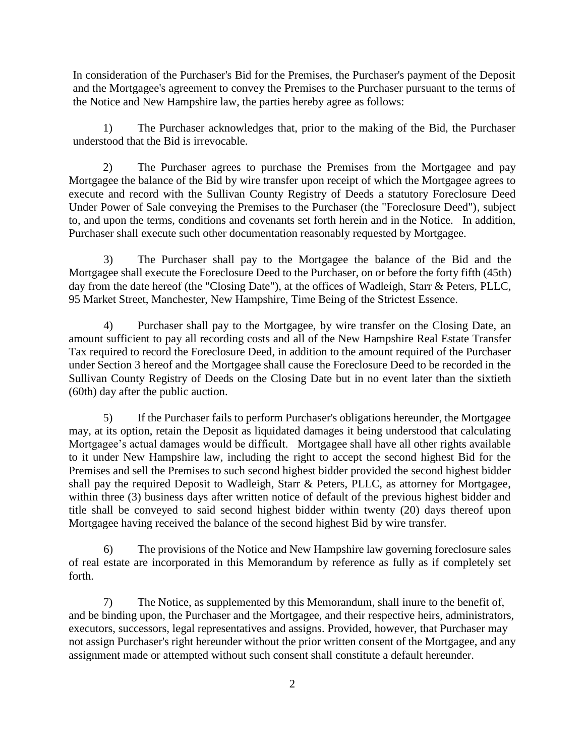In consideration of the Purchaser's Bid for the Premises, the Purchaser's payment of the Deposit and the Mortgagee's agreement to convey the Premises to the Purchaser pursuant to the terms of the Notice and New Hampshire law, the parties hereby agree as follows:

1) The Purchaser acknowledges that, prior to the making of the Bid, the Purchaser understood that the Bid is irrevocable.

2) The Purchaser agrees to purchase the Premises from the Mortgagee and pay Mortgagee the balance of the Bid by wire transfer upon receipt of which the Mortgagee agrees to execute and record with the Sullivan County Registry of Deeds a statutory Foreclosure Deed Under Power of Sale conveying the Premises to the Purchaser (the "Foreclosure Deed"), subject to, and upon the terms, conditions and covenants set forth herein and in the Notice. In addition, Purchaser shall execute such other documentation reasonably requested by Mortgagee.

3) The Purchaser shall pay to the Mortgagee the balance of the Bid and the Mortgagee shall execute the Foreclosure Deed to the Purchaser, on or before the forty fifth (45th) day from the date hereof (the "Closing Date"), at the offices of Wadleigh, Starr & Peters, PLLC, 95 Market Street, Manchester, New Hampshire, Time Being of the Strictest Essence.

4) Purchaser shall pay to the Mortgagee, by wire transfer on the Closing Date, an amount sufficient to pay all recording costs and all of the New Hampshire Real Estate Transfer Tax required to record the Foreclosure Deed, in addition to the amount required of the Purchaser under Section 3 hereof and the Mortgagee shall cause the Foreclosure Deed to be recorded in the Sullivan County Registry of Deeds on the Closing Date but in no event later than the sixtieth (60th) day after the public auction.

5) If the Purchaser fails to perform Purchaser's obligations hereunder, the Mortgagee may, at its option, retain the Deposit as liquidated damages it being understood that calculating Mortgagee's actual damages would be difficult. Mortgagee shall have all other rights available to it under New Hampshire law, including the right to accept the second highest Bid for the Premises and sell the Premises to such second highest bidder provided the second highest bidder shall pay the required Deposit to Wadleigh, Starr & Peters, PLLC, as attorney for Mortgagee, within three (3) business days after written notice of default of the previous highest bidder and title shall be conveyed to said second highest bidder within twenty (20) days thereof upon Mortgagee having received the balance of the second highest Bid by wire transfer.

6) The provisions of the Notice and New Hampshire law governing foreclosure sales of real estate are incorporated in this Memorandum by reference as fully as if completely set forth.

7) The Notice, as supplemented by this Memorandum, shall inure to the benefit of, and be binding upon, the Purchaser and the Mortgagee, and their respective heirs, administrators, executors, successors, legal representatives and assigns. Provided, however, that Purchaser may not assign Purchaser's right hereunder without the prior written consent of the Mortgagee, and any assignment made or attempted without such consent shall constitute a default hereunder.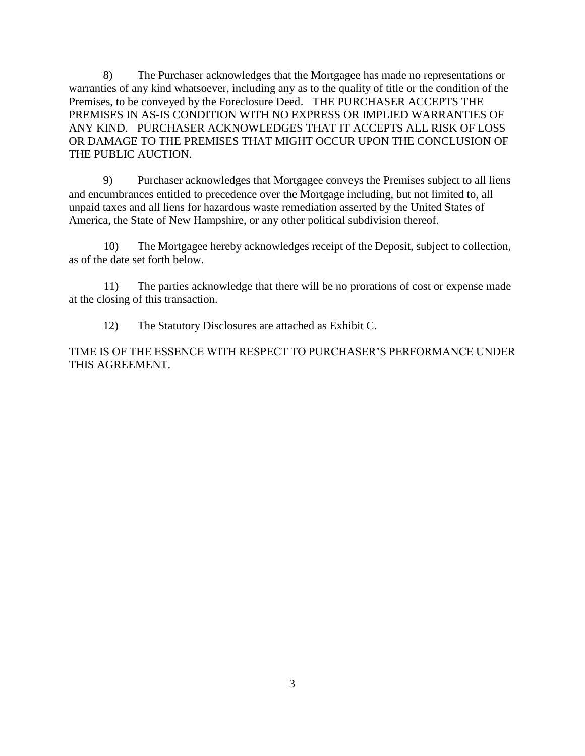8) The Purchaser acknowledges that the Mortgagee has made no representations or warranties of any kind whatsoever, including any as to the quality of title or the condition of the Premises, to be conveyed by the Foreclosure Deed. THE PURCHASER ACCEPTS THE PREMISES IN AS-IS CONDITION WITH NO EXPRESS OR IMPLIED WARRANTIES OF ANY KIND. PURCHASER ACKNOWLEDGES THAT IT ACCEPTS ALL RISK OF LOSS OR DAMAGE TO THE PREMISES THAT MIGHT OCCUR UPON THE CONCLUSION OF THE PUBLIC AUCTION.

9) Purchaser acknowledges that Mortgagee conveys the Premises subject to all liens and encumbrances entitled to precedence over the Mortgage including, but not limited to, all unpaid taxes and all liens for hazardous waste remediation asserted by the United States of America, the State of New Hampshire, or any other political subdivision thereof.

10) The Mortgagee hereby acknowledges receipt of the Deposit, subject to collection, as of the date set forth below.

11) The parties acknowledge that there will be no prorations of cost or expense made at the closing of this transaction.

12) The Statutory Disclosures are attached as Exhibit C.

TIME IS OF THE ESSENCE WITH RESPECT TO PURCHASER'S PERFORMANCE UNDER THIS AGREEMENT.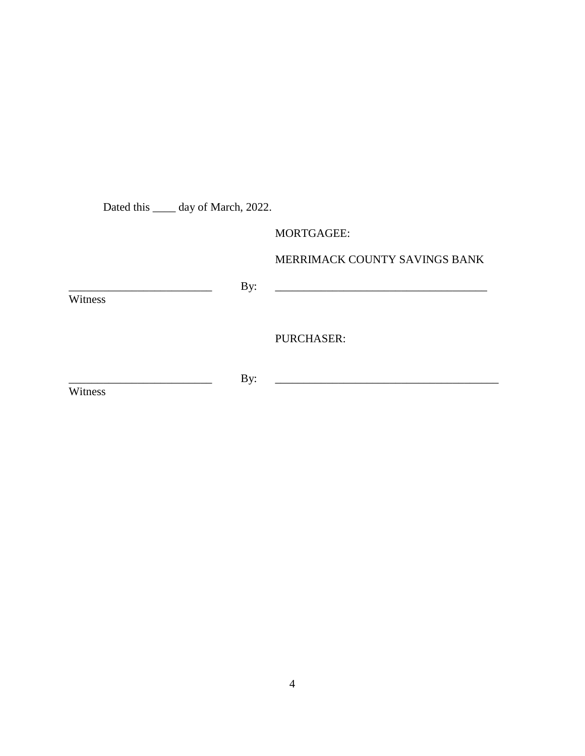Dated this \_\_\_\_\_ day of March, 2022.

MORTGAGEE:

MERRIMACK COUNTY SAVINGS BANK

\_\_\_\_\_\_\_\_\_\_\_\_\_\_\_\_\_\_\_\_\_\_\_\_\_ By: \_\_\_\_\_\_\_\_\_\_\_\_\_\_\_\_\_\_\_\_\_\_\_\_\_\_\_\_\_\_\_\_\_\_\_\_\_

Witness<sup></sup>

PURCHASER:

**Witness** 

\_\_\_\_\_\_\_\_\_\_\_\_\_\_\_\_\_\_\_\_\_\_\_\_\_ By: \_\_\_\_\_\_\_\_\_\_\_\_\_\_\_\_\_\_\_\_\_\_\_\_\_\_\_\_\_\_\_\_\_\_\_\_\_\_\_

4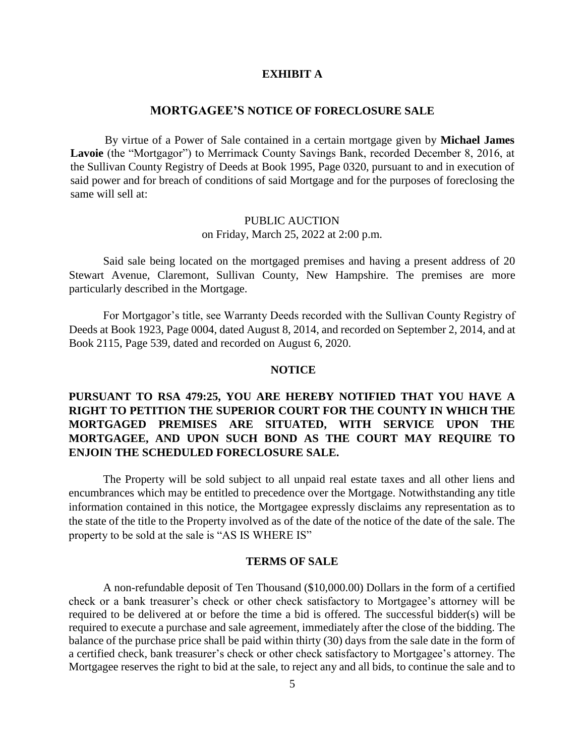#### **EXHIBIT A**

#### **MORTGAGEE'S NOTICE OF FORECLOSURE SALE**

By virtue of a Power of Sale contained in a certain mortgage given by **Michael James Lavoie** (the "Mortgagor") to Merrimack County Savings Bank, recorded December 8, 2016, at the Sullivan County Registry of Deeds at Book 1995, Page 0320, pursuant to and in execution of said power and for breach of conditions of said Mortgage and for the purposes of foreclosing the same will sell at:

### PUBLIC AUCTION on Friday, March 25, 2022 at 2:00 p.m.

Said sale being located on the mortgaged premises and having a present address of 20 Stewart Avenue, Claremont, Sullivan County, New Hampshire. The premises are more particularly described in the Mortgage.

For Mortgagor's title, see Warranty Deeds recorded with the Sullivan County Registry of Deeds at Book 1923, Page 0004, dated August 8, 2014, and recorded on September 2, 2014, and at Book 2115, Page 539, dated and recorded on August 6, 2020.

### **NOTICE**

# **PURSUANT TO RSA 479:25, YOU ARE HEREBY NOTIFIED THAT YOU HAVE A RIGHT TO PETITION THE SUPERIOR COURT FOR THE COUNTY IN WHICH THE MORTGAGED PREMISES ARE SITUATED, WITH SERVICE UPON THE MORTGAGEE, AND UPON SUCH BOND AS THE COURT MAY REQUIRE TO ENJOIN THE SCHEDULED FORECLOSURE SALE.**

The Property will be sold subject to all unpaid real estate taxes and all other liens and encumbrances which may be entitled to precedence over the Mortgage. Notwithstanding any title information contained in this notice, the Mortgagee expressly disclaims any representation as to the state of the title to the Property involved as of the date of the notice of the date of the sale. The property to be sold at the sale is "AS IS WHERE IS"

#### **TERMS OF SALE**

A non-refundable deposit of Ten Thousand (\$10,000.00) Dollars in the form of a certified check or a bank treasurer's check or other check satisfactory to Mortgagee's attorney will be required to be delivered at or before the time a bid is offered. The successful bidder(s) will be required to execute a purchase and sale agreement, immediately after the close of the bidding. The balance of the purchase price shall be paid within thirty (30) days from the sale date in the form of a certified check, bank treasurer's check or other check satisfactory to Mortgagee's attorney. The Mortgagee reserves the right to bid at the sale, to reject any and all bids, to continue the sale and to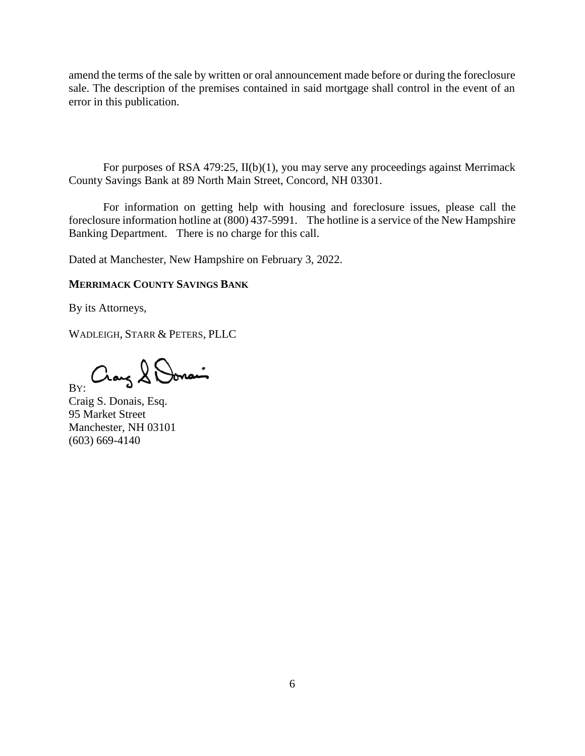amend the terms of the sale by written or oral announcement made before or during the foreclosure sale. The description of the premises contained in said mortgage shall control in the event of an error in this publication.

For purposes of RSA 479:25, II(b)(1), you may serve any proceedings against Merrimack County Savings Bank at 89 North Main Street, Concord, NH 03301.

For information on getting help with housing and foreclosure issues, please call the foreclosure information hotline at (800) 437-5991. The hotline is a service of the New Hampshire Banking Department. There is no charge for this call.

Dated at Manchester, New Hampshire on February 3, 2022.

### **MERRIMACK COUNTY SAVINGS BANK**

By its Attorneys,

WADLEIGH, STARR & PETERS, PLLC

Cray & Donai BY:

Craig S. Donais, Esq. 95 Market Street Manchester, NH 03101 (603) 669-4140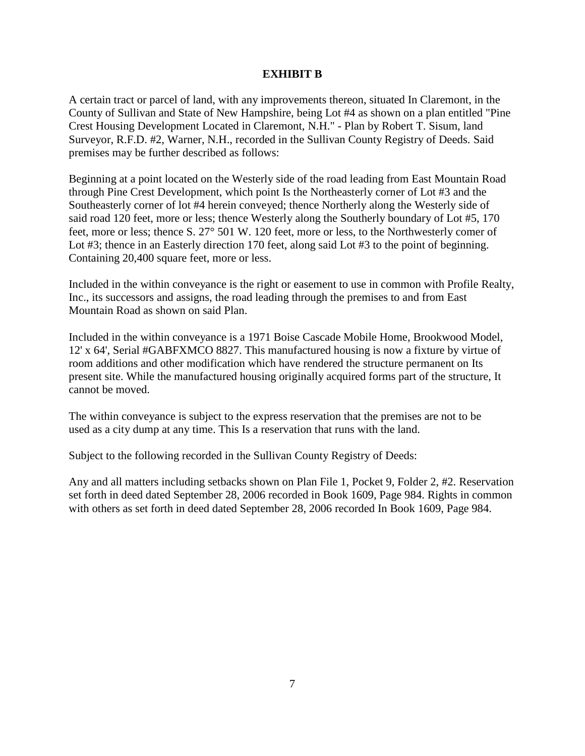### **EXHIBIT B**

A certain tract or parcel of land, with any improvements thereon, situated In Claremont, in the County of Sullivan and State of New Hampshire, being Lot #4 as shown on a plan entitled "Pine Crest Housing Development Located in Claremont, N.H." - Plan by Robert T. Sisum, land Surveyor, R.F.D. #2, Warner, N.H., recorded in the Sullivan County Registry of Deeds. Said premises may be further described as follows:

Beginning at a point located on the Westerly side of the road leading from East Mountain Road through Pine Crest Development, which point Is the Northeasterly corner of Lot #3 and the Southeasterly corner of lot #4 herein conveyed; thence Northerly along the Westerly side of said road 120 feet, more or less; thence Westerly along the Southerly boundary of Lot #5, 170 feet, more or less; thence S. 27° 501 W. 120 feet, more or less, to the Northwesterly comer of Lot #3; thence in an Easterly direction 170 feet, along said Lot #3 to the point of beginning. Containing 20,400 square feet, more or less.

Included in the within conveyance is the right or easement to use in common with Profile Realty, Inc., its successors and assigns, the road leading through the premises to and from East Mountain Road as shown on said Plan.

Included in the within conveyance is a 1971 Boise Cascade Mobile Home, Brookwood Model, 12' x 64', Serial #GABFXMCO 8827. This manufactured housing is now a fixture by virtue of room additions and other modification which have rendered the structure permanent on Its present site. While the manufactured housing originally acquired forms part of the structure, It cannot be moved.

The within conveyance is subject to the express reservation that the premises are not to be used as a city dump at any time. This Is a reservation that runs with the land.

Subject to the following recorded in the Sullivan County Registry of Deeds:

Any and all matters including setbacks shown on Plan File 1, Pocket 9, Folder 2, #2. Reservation set forth in deed dated September 28, 2006 recorded in Book 1609, Page 984. Rights in common with others as set forth in deed dated September 28, 2006 recorded In Book 1609, Page 984.